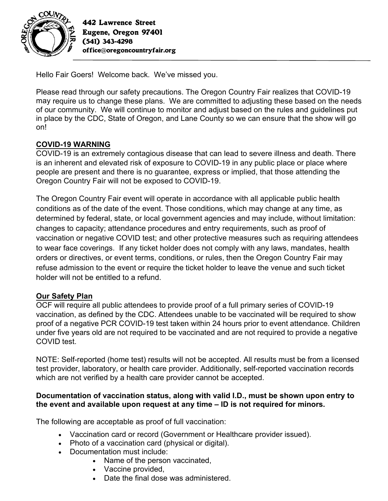

442 Lawrence Street Eugene, Oregon 97401 (541) 343-4298 office@oregoncountryfair.org

Hello Fair Goers! Welcome back. We've missed you.

Please read through our safety precautions. The Oregon Country Fair realizes that COVID-19 may require us to change these plans. We are committed to adjusting these based on the needs of our community. We will continue to monitor and adjust based on the rules and guidelines put in place by the CDC, State of Oregon, and Lane County so we can ensure that the show will go on!

# **COVID-19 WARNING**

COVID-19 is an extremely contagious disease that can lead to severe illness and death. There is an inherent and elevated risk of exposure to COVID-19 in any public place or place where people are present and there is no guarantee, express or implied, that those attending the Oregon Country Fair will not be exposed to COVID-19.

The Oregon Country Fair event will operate in accordance with all applicable public health conditions as of the date of the event. Those conditions, which may change at any time, as determined by federal, state, or local government agencies and may include, without limitation: changes to capacity; attendance procedures and entry requirements, such as proof of vaccination or negative COVID test; and other protective measures such as requiring attendees to wear face coverings. If any ticket holder does not comply with any laws, mandates, health orders or directives, or event terms, conditions, or rules, then the Oregon Country Fair may refuse admission to the event or require the ticket holder to leave the venue and such ticket holder will not be entitled to a refund.

## **Our Safety Plan**

OCF will require all public attendees to provide proof of a full primary series of COVID-19 vaccination, as defined by the CDC. Attendees unable to be vaccinated will be required to show proof of a negative PCR COVID-19 test taken within 24 hours prior to event attendance. Children under five years old are not required to be vaccinated and are not required to provide a negative COVID test.

NOTE: Self-reported (home test) results will not be accepted. All results must be from a licensed test provider, laboratory, or health care provider. Additionally, self-reported vaccination records which are not verified by a health care provider cannot be accepted.

### **Documentation of vaccination status, along with valid I.D., must be shown upon entry to the event and available upon request at any time – ID is not required for minors.**

The following are acceptable as proof of full vaccination:

- Vaccination card or record (Government or Healthcare provider issued).
- Photo of a vaccination card (physical or digital).
- Documentation must include:
	- Name of the person vaccinated,
	- Vaccine provided,
	- Date the final dose was administered.